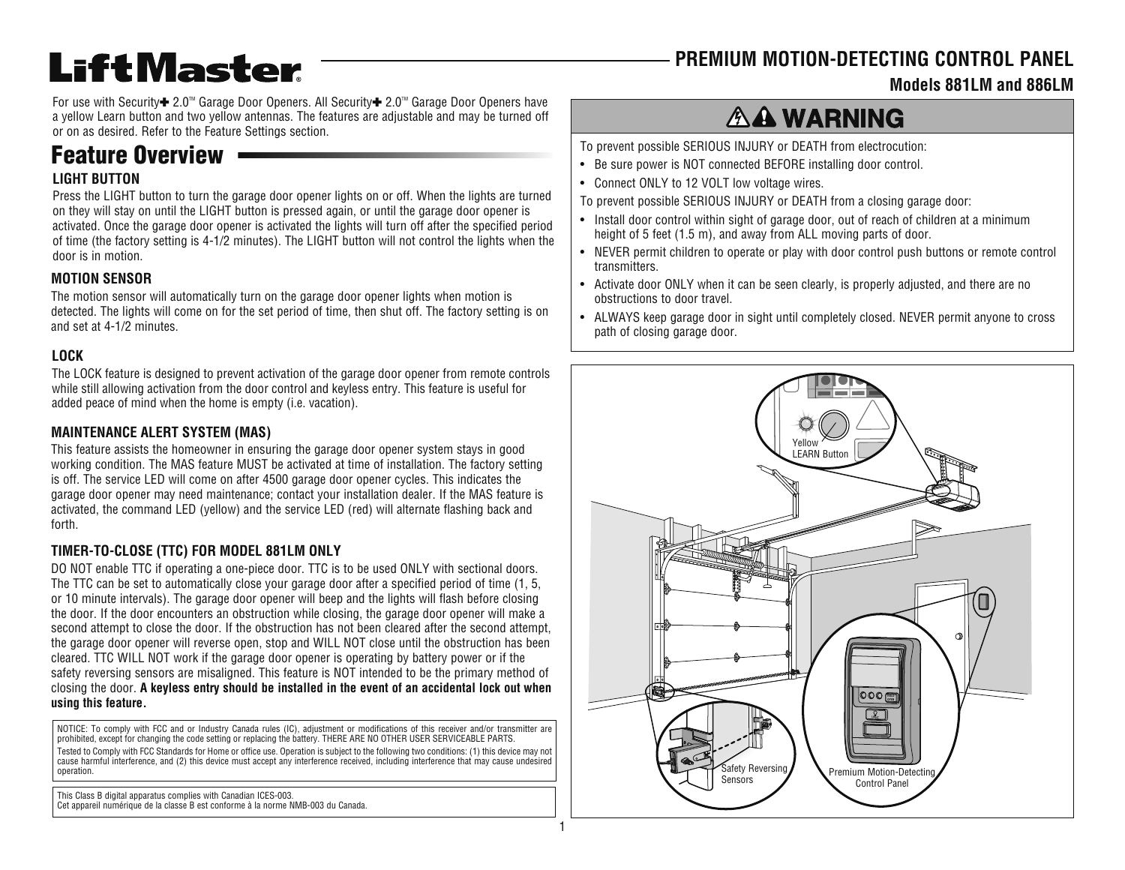### **PREMIUM MOTION-DETECTING CONTROL PANEL**

#### **Models 881LM and 886LM**

For use with Security **+** 2.0<sup>™</sup> Garage Door Openers. All Security + 2.0<sup>™</sup> Garage Door Openers have a yellow Learn button and two yellow antennas. The features are adjustable and may be turned off or on as desired. Refer to the Feature Settings section.

## **Feature Overview**

**LiftMaster** 

#### **LIGHT BUTTON**

Press the LIGHT button to turn the garage door opener lights on or off. When the lights are turned on they will stay on until the LIGHT button is pressed again, or until the garage door opener is activated. Once the garage door opener is activated the lights will turn off after the specified period of time (the factory setting is 4-1/2 minutes). The LIGHT button will not control the lights when the door is in motion.

#### **MOTION SENSOR**

The motion sensor will automatically turn on the garage door opener lights when motion is detected. The lights will come on for the set period of time, then shut off. The factory setting is on and set at 4-1/2 minutes.

#### **LOCK**

The LOCK feature is designed to prevent activation of the garage door opener from remote controls while still allowing activation from the door control and keyless entry. This feature is useful for added peace of mind when the home is empty (i.e. vacation).

#### **MAINTENANCE ALERT SYSTEM (MAS)**

This feature assists the homeowner in ensuring the garage door opener system stays in good working condition. The MAS feature MUST be activated at time of installation. The factory setting is off. The service LED will come on after 4500 garage door opener cycles. This indicates the garage door opener may need maintenance; contact your installation dealer. If the MAS feature is activated, the command LED (yellow) and the service LED (red) will alternate flashing back and forth.

#### **TIMER-TO-CLOSE (TTC) FOR MODEL 881LM ONLY**

DO NOT enable TTC if operating a one-piece door. TTC is to be used ONLY with sectional doors. The TTC can be set to automatically close your garage door after a specified period of time (1, 5, or 10 minute intervals). The garage door opener will beep and the lights will flash before closing the door. If the door encounters an obstruction while closing, the garage door opener will make a second attempt to close the door. If the obstruction has not been cleared after the second attempt, the garage door opener will reverse open, stop and WILL NOT close until the obstruction has been cleared. TTC WILL NOT work if the garage door opener is operating by battery power or if the safety reversing sensors are misaligned. This feature is NOT intended to be the primary method of closing the door. **A keyless entry should be installed in the event of an accidental lock out when using this feature.**

NOTICE: To comply with FCC and or Industry Canada rules (IC), adjustment or modifications of this receiver and/or transmitter are prohibited, except for changing the code setting or replacing the battery. THERE ARE NO OTHER USER SERVICEABLE PARTS. Tested to Comply with FCC Standards for Home or office use. Operation is subject to the following two conditions: (1) this device may not cause harmful interference, and (2) this device must accept any interference received, including interference that may cause undesired operation.

This Class B digital apparatus complies with Canadian ICES-003. Cet appareil numérique de la classe B est conforme à la norme NMB-003 du Canada.

# **AA WARNING**

To prevent possible SERIOUS INJURY or DEATH from electrocution:

- Be sure power is NOT connected BEFORE installing door control.
- Connect ONLY to 12 VOLT low voltage wires.
- To prevent possible SERIOUS INJURY or DEATH from a closing garage door:
- Install door control within sight of garage door, out of reach of children at a minimum height of 5 feet (1.5 m), and away from ALL moving parts of door.
- NEVER permit children to operate or play with door control push buttons or remote control transmitters.
- Activate door ONLY when it can be seen clearly, is properly adjusted, and there are no obstructions to door travel.
- ALWAYS keep garage door in sight until completely closed. NEVER permit anyone to cross path of closing garage door.

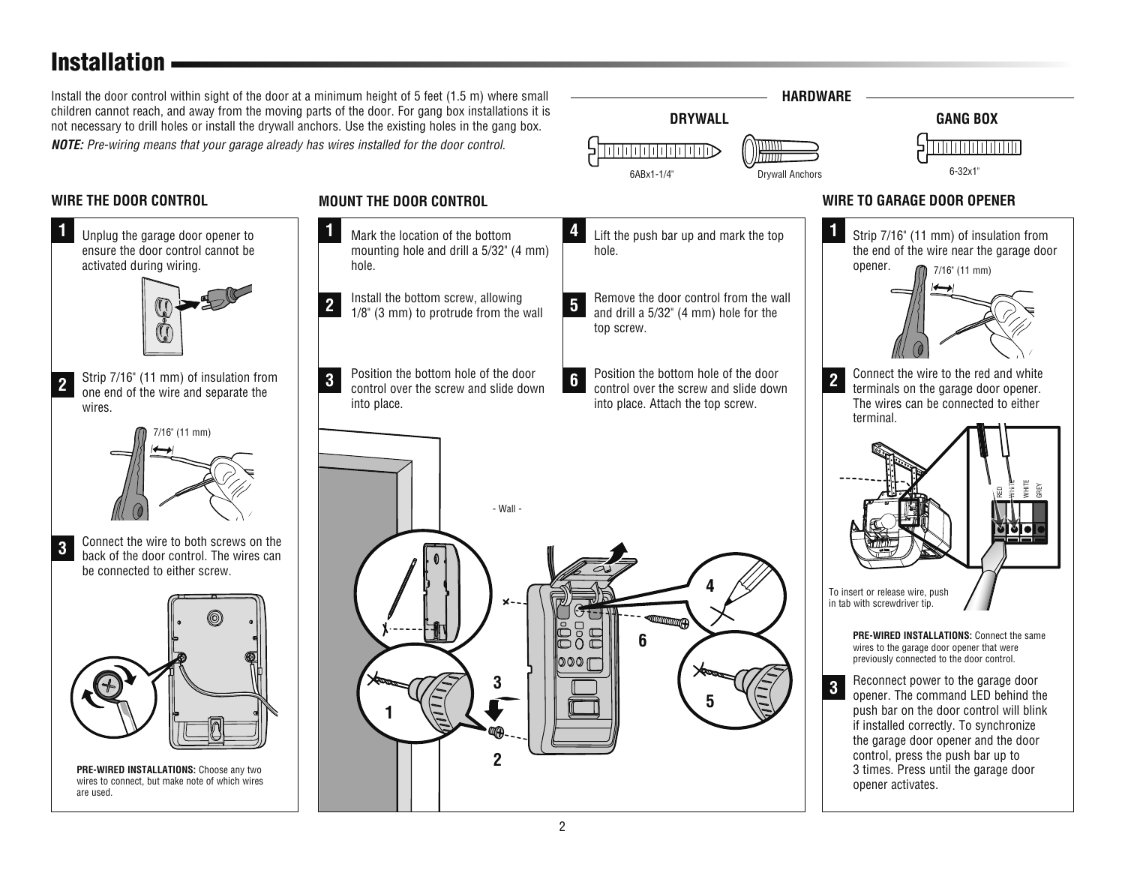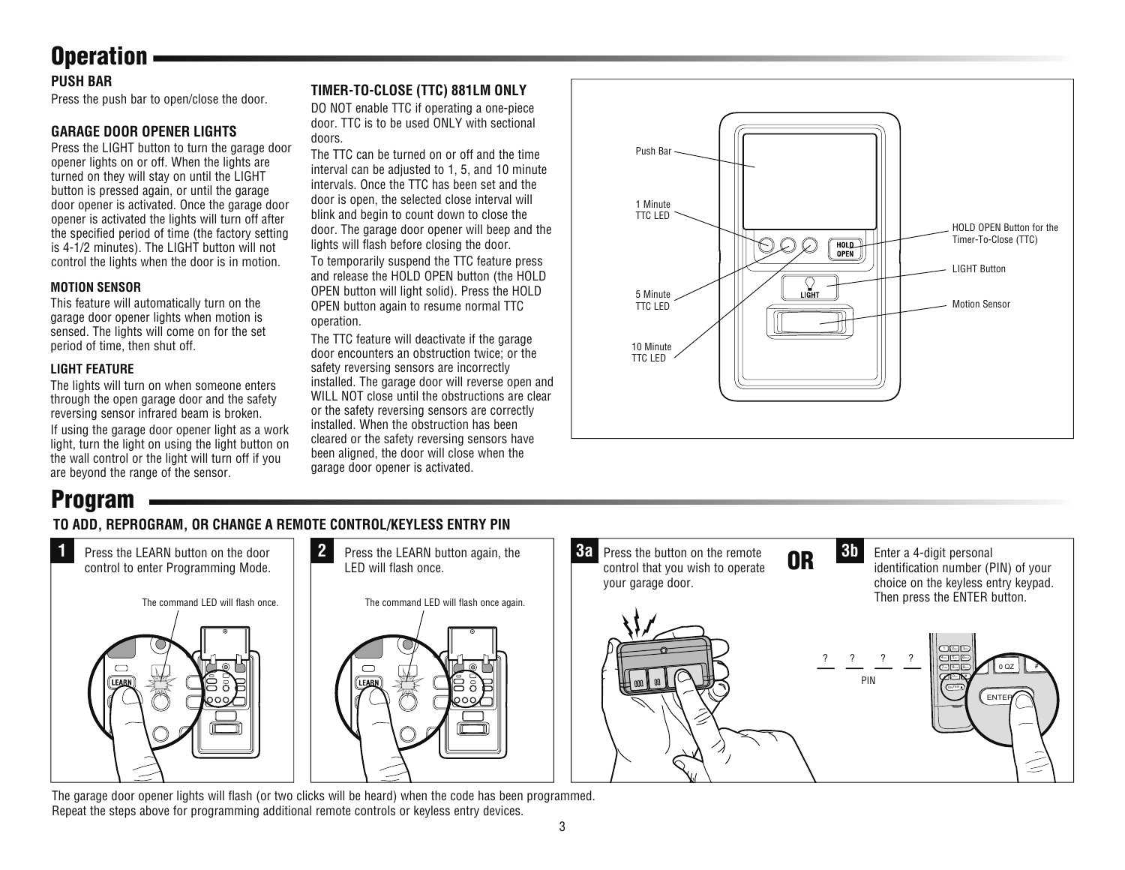# **Operation**

#### **PUSH BAR**

Press the push bar to open/close the door.

#### **GARAGE DOOR OPENER LIGHTS**

Press the LIGHT button to turn the garage door opener lights on or off. When the lights are turned on they will stay on until the LIGHT button is pressed again, or until the garage door opener is activated. Once the garage door opener is activated the lights will turn off after the specified period of time (the factory setting is 4-1/2 minutes). The LIGHT button will not control the lights when the door is in motion.

#### **MOTION SENSOR**

This feature will automatically turn on the garage door opener lights when motion is sensed. The lights will come on for the set period of time, then shut off.

#### **LIGHT FEATURE**

The lights will turn on when someone enters through the open garage door and the safety reversing sensor infrared beam is broken.

If using the garage door opener light as a work light, turn the light on using the light button on the wall control or the light will turn off if you are beyond the range of the sensor.

#### **TIMER-TO-CLOSE (TTC) 881LM ONLY**

DO NOT enable TTC if operating a one-piece door. TTC is to be used ONLY with sectional doors.

The TTC can be turned on or off and the time interval can be adjusted to 1, 5, and 10 minute intervals. Once the TTC has been set and the door is open, the selected close interval will blink and begin to count down to close the door. The garage door opener will beep and the lights will flash before closing the door.

To temporarily suspend the TTC feature press and release the HOLD OPEN button (the HOLD OPEN button will light solid). Press the HOLD OPEN button again to resume normal TTC operation.

The TTC feature will deactivate if the garage door encounters an obstruction twice; or the safety reversing sensors are incorrectly installed. The garage door will reverse open and WILL NOT close until the obstructions are clear or the safety reversing sensors are correctly installed. When the obstruction has been cleared or the safety reversing sensors have been aligned, the door will close when the garage door opener is activated.



#### **TO ADD, REPROGRAM, OR CHANGE A REMOTE CONTROL/KEYLESS ENTRY PIN Program**



The garage door opener lights will flash (or two clicks will be heard) when the code has been programmed. Repeat the steps above for programming additional remote controls or keyless entry devices.